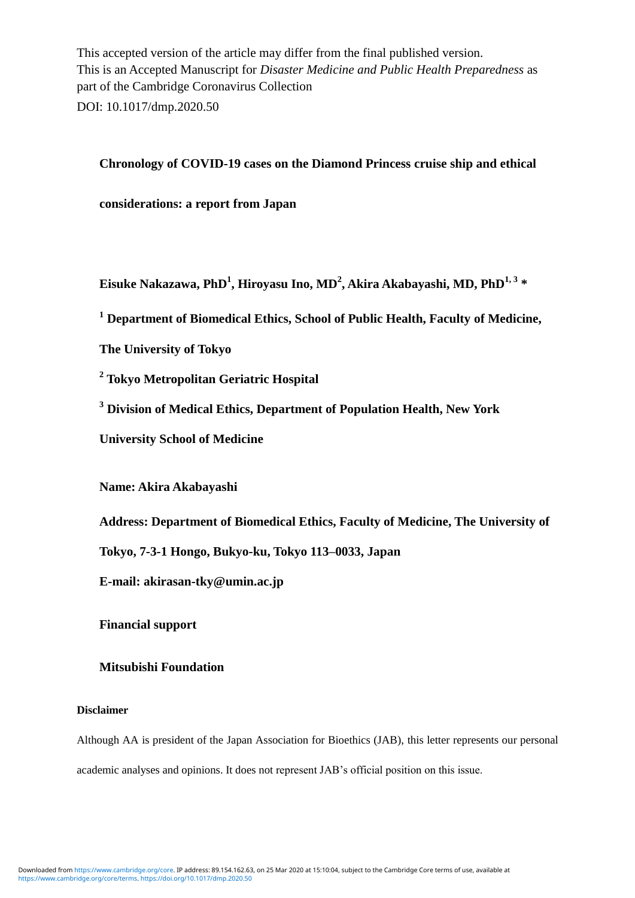This accepted version of the article may differ from the final published version. This is an Accepted Manuscript for *Disaster Medicine and Public Health Preparedness* as part of the Cambridge Coronavirus Collection DOI: 10.1017/dmp.2020.50

#### **Chronology of COVID-19 cases on the Diamond Princess cruise ship and ethical**

**considerations: a report from Japan**

**Eisuke Nakazawa, PhD<sup>1</sup> , Hiroyasu Ino, MD<sup>2</sup> , Akira Akabayashi, MD, PhD1, 3 \***

**<sup>1</sup> Department of Biomedical Ethics, School of Public Health, Faculty of Medicine,** 

**The University of Tokyo**

**<sup>2</sup> Tokyo Metropolitan Geriatric Hospital**

**<sup>3</sup> Division of Medical Ethics, Department of Population Health, New York** 

**University School of Medicine**

**Name: Akira Akabayashi**

**Address: Department of Biomedical Ethics, Faculty of Medicine, The University of** 

**Tokyo, 7-3-1 Hongo, Bukyo-ku, Tokyo 113–0033, Japan**

**E-mail: akirasan-tky@umin.ac.jp**

**Financial support**

#### **Mitsubishi Foundation**

#### **Disclaimer**

Although AA is president of the Japan Association for Bioethics (JAB), this letter represents our personal academic analyses and opinions. It does not represent JAB's official position on this issue.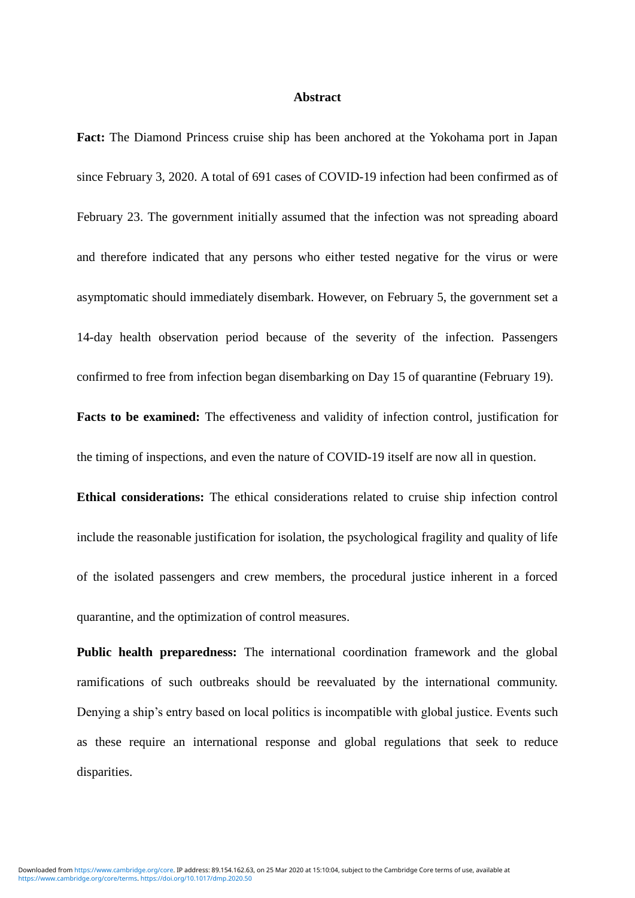#### **Abstract**

**Fact:** The Diamond Princess cruise ship has been anchored at the Yokohama port in Japan since February 3, 2020. A total of 691 cases of COVID-19 infection had been confirmed as of February 23. The government initially assumed that the infection was not spreading aboard and therefore indicated that any persons who either tested negative for the virus or were asymptomatic should immediately disembark. However, on February 5, the government set a 14-day health observation period because of the severity of the infection. Passengers confirmed to free from infection began disembarking on Day 15 of quarantine (February 19).

**Facts to be examined:** The effectiveness and validity of infection control, justification for the timing of inspections, and even the nature of COVID-19 itself are now all in question.

**Ethical considerations:** The ethical considerations related to cruise ship infection control include the reasonable justification for isolation, the psychological fragility and quality of life of the isolated passengers and crew members, the procedural justice inherent in a forced quarantine, and the optimization of control measures.

**Public health preparedness:** The international coordination framework and the global ramifications of such outbreaks should be reevaluated by the international community. Denying a ship's entry based on local politics is incompatible with global justice. Events such as these require an international response and global regulations that seek to reduce disparities.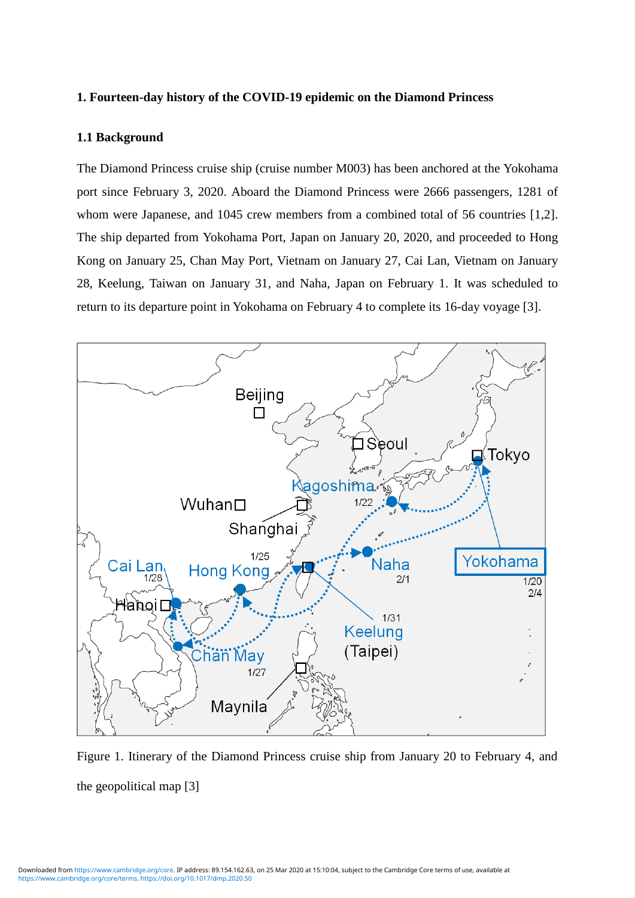#### **1. Fourteen-day history of the COVID-19 epidemic on the Diamond Princess**

#### **1.1 Background**

The Diamond Princess cruise ship (cruise number M003) has been anchored at the Yokohama port since February 3, 2020. Aboard the Diamond Princess were 2666 passengers, 1281 of whom were Japanese, and 1045 crew members from a combined total of 56 countries [1,2]. The ship departed from Yokohama Port, Japan on January 20, 2020, and proceeded to Hong Kong on January 25, Chan May Port, Vietnam on January 27, Cai Lan, Vietnam on January 28, Keelung, Taiwan on January 31, and Naha, Japan on February 1. It was scheduled to return to its departure point in Yokohama on February 4 to complete its 16-day voyage [3].



Figure 1. Itinerary of the Diamond Princess cruise ship from January 20 to February 4, and the geopolitical map [3]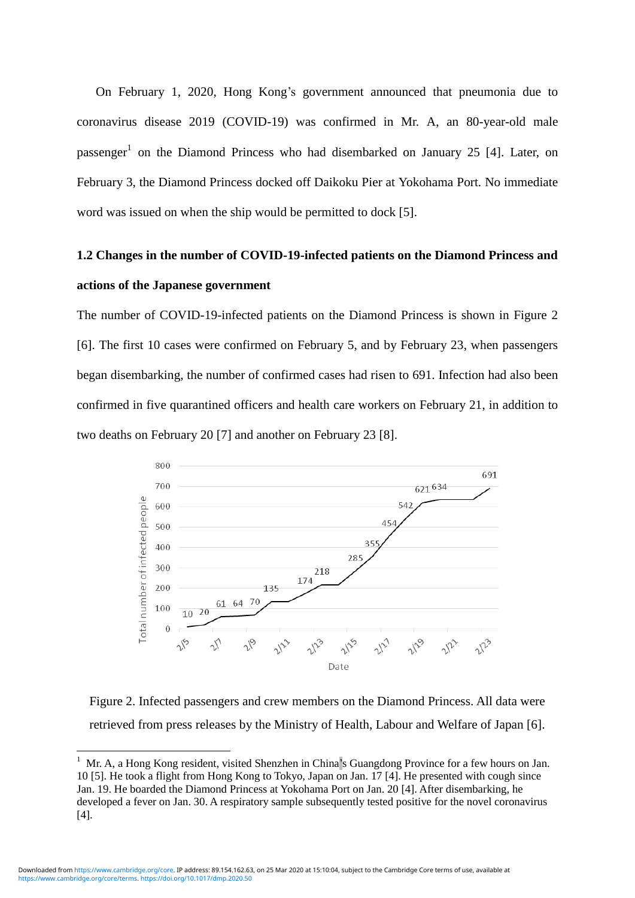On February 1, 2020, Hong Kong's government announced that pneumonia due to coronavirus disease 2019 (COVID-19) was confirmed in Mr. A, an 80-year-old male passenger<sup>1</sup> on the Diamond Princess who had disembarked on January 25 [4]. Later, on February 3, the Diamond Princess docked off Daikoku Pier at Yokohama Port. No immediate word was issued on when the ship would be permitted to dock [5].

### **1.2 Changes in the number of COVID-19-infected patients on the Diamond Princess and actions of the Japanese government**

The number of COVID-19-infected patients on the Diamond Princess is shown in Figure 2 [6]. The first 10 cases were confirmed on February 5, and by February 23, when passengers began disembarking, the number of confirmed cases had risen to 691. Infection had also been confirmed in five quarantined officers and health care workers on February 21, in addition to two deaths on February 20 [7] and another on February 23 [8].



Figure 2. Infected passengers and crew members on the Diamond Princess. All data were retrieved from press releases by the Ministry of Health, Labour and Welfare of Japan [6].

-

<sup>1</sup> Mr. A, a Hong Kong resident, visited Shenzhen in China's Guangdong Province for a few hours on Jan. 10 [5]. He took a flight from Hong Kong to Tokyo, Japan on Jan. 17 [4]. He presented with cough since Jan. 19. He boarded the Diamond Princess at Yokohama Port on Jan. 20 [4]. After disembarking, he developed a fever on Jan. 30. A respiratory sample subsequently tested positive for the novel coronavirus [4].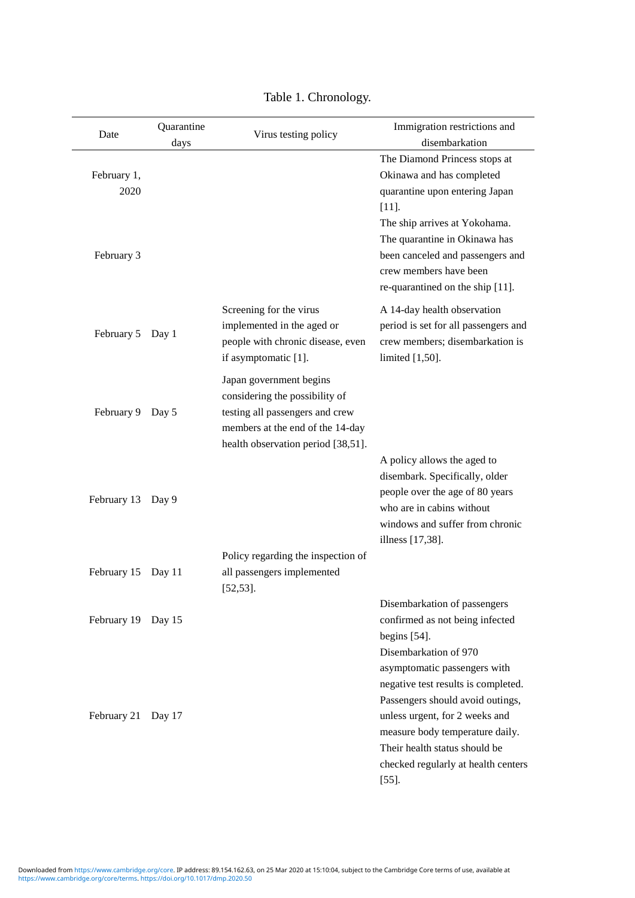| Date                              | Quarantine<br>days | Virus testing policy                                                                                                                                                   | Immigration restrictions and<br>disembarkation                                                                                                                                                                                                                               |
|-----------------------------------|--------------------|------------------------------------------------------------------------------------------------------------------------------------------------------------------------|------------------------------------------------------------------------------------------------------------------------------------------------------------------------------------------------------------------------------------------------------------------------------|
| February 1,<br>2020<br>February 3 |                    |                                                                                                                                                                        | The Diamond Princess stops at<br>Okinawa and has completed<br>quarantine upon entering Japan<br>$[11]$ .<br>The ship arrives at Yokohama.<br>The quarantine in Okinawa has<br>been canceled and passengers and<br>crew members have been<br>re-quarantined on the ship [11]. |
| February 5                        | Day 1              | Screening for the virus<br>implemented in the aged or<br>people with chronic disease, even<br>if asymptomatic [1].                                                     | A 14-day health observation<br>period is set for all passengers and<br>crew members; disembarkation is<br>limited $[1,50]$ .                                                                                                                                                 |
| February 9                        | Day 5              | Japan government begins<br>considering the possibility of<br>testing all passengers and crew<br>members at the end of the 14-day<br>health observation period [38,51]. |                                                                                                                                                                                                                                                                              |
| February 13                       | Day 9              |                                                                                                                                                                        | A policy allows the aged to<br>disembark. Specifically, older<br>people over the age of 80 years<br>who are in cabins without<br>windows and suffer from chronic<br>illness [17,38].                                                                                         |
| February 15                       | Day 11             | Policy regarding the inspection of<br>all passengers implemented<br>$[52, 53]$ .                                                                                       |                                                                                                                                                                                                                                                                              |
| February 19                       | Day 15             |                                                                                                                                                                        | Disembarkation of passengers<br>confirmed as not being infected<br>begins [54].<br>Disembarkation of 970<br>asymptomatic passengers with<br>negative test results is completed.                                                                                              |
| February 21                       | Day 17             |                                                                                                                                                                        | Passengers should avoid outings,<br>unless urgent, for 2 weeks and<br>measure body temperature daily.<br>Their health status should be<br>checked regularly at health centers<br>$[55]$ .                                                                                    |

Table 1. Chronology.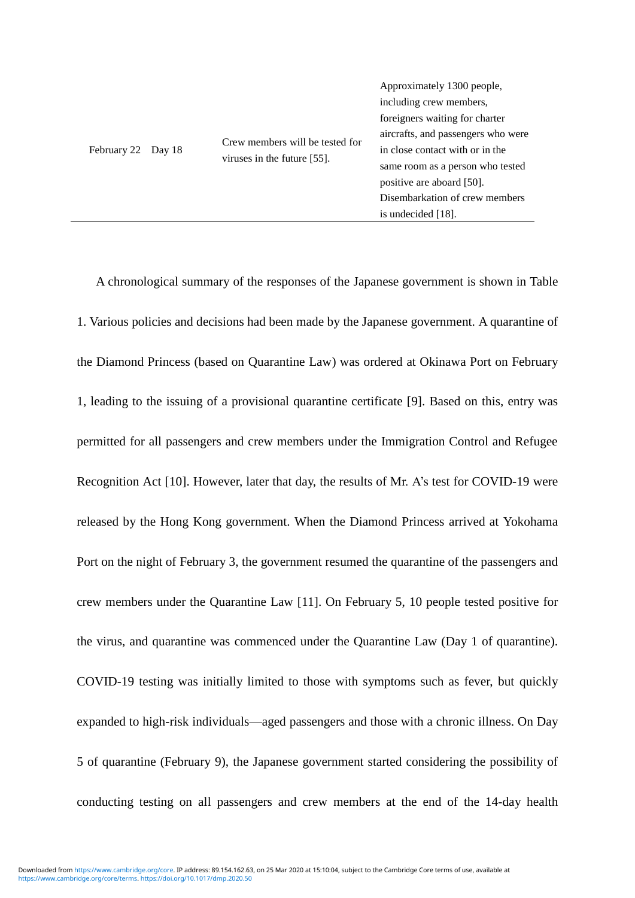A chronological summary of the responses of the Japanese government is shown in Table 1. Various policies and decisions had been made by the Japanese government. A quarantine of the Diamond Princess (based on Quarantine Law) was ordered at Okinawa Port on February 1, leading to the issuing of a provisional quarantine certificate [9]. Based on this, entry was permitted for all passengers and crew members under the Immigration Control and Refugee Recognition Act [10]. However, later that day, the results of Mr. A's test for COVID-19 were released by the Hong Kong government. When the Diamond Princess arrived at Yokohama Port on the night of February 3, the government resumed the quarantine of the passengers and crew members under the Quarantine Law [11]. On February 5, 10 people tested positive for the virus, and quarantine was commenced under the Quarantine Law (Day 1 of quarantine). COVID-19 testing was initially limited to those with symptoms such as fever, but quickly expanded to high-risk individuals—aged passengers and those with a chronic illness. On Day 5 of quarantine (February 9), the Japanese government started considering the possibility of conducting testing on all passengers and crew members at the end of the 14-day health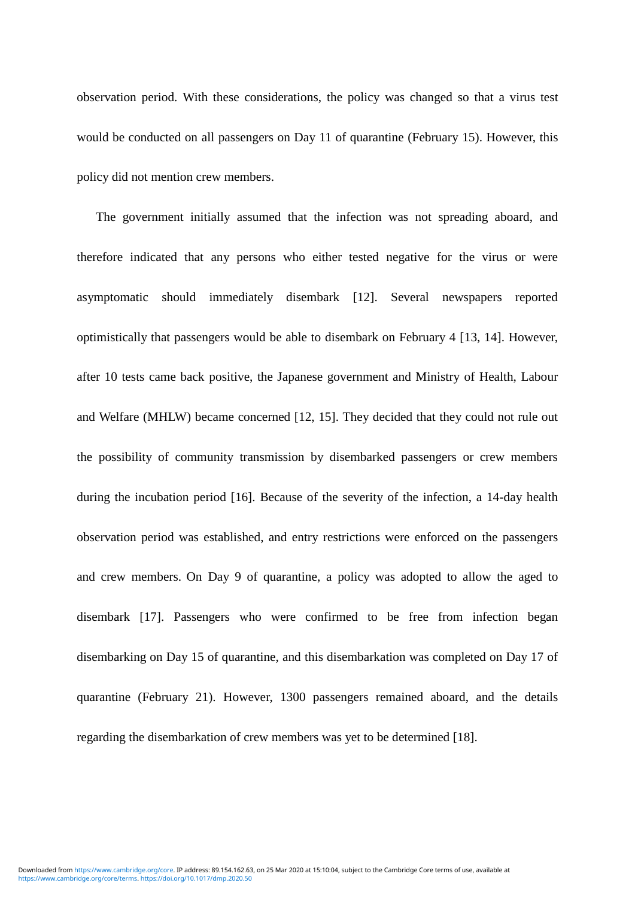observation period. With these considerations, the policy was changed so that a virus test would be conducted on all passengers on Day 11 of quarantine (February 15). However, this policy did not mention crew members.

The government initially assumed that the infection was not spreading aboard, and therefore indicated that any persons who either tested negative for the virus or were asymptomatic should immediately disembark [12]. Several newspapers reported optimistically that passengers would be able to disembark on February 4 [13, 14]. However, after 10 tests came back positive, the Japanese government and Ministry of Health, Labour and Welfare (MHLW) became concerned [12, 15]. They decided that they could not rule out the possibility of community transmission by disembarked passengers or crew members during the incubation period [16]. Because of the severity of the infection, a 14-day health observation period was established, and entry restrictions were enforced on the passengers and crew members. On Day 9 of quarantine, a policy was adopted to allow the aged to disembark [17]. Passengers who were confirmed to be free from infection began disembarking on Day 15 of quarantine, and this disembarkation was completed on Day 17 of quarantine (February 21). However, 1300 passengers remained aboard, and the details regarding the disembarkation of crew members was yet to be determined [18].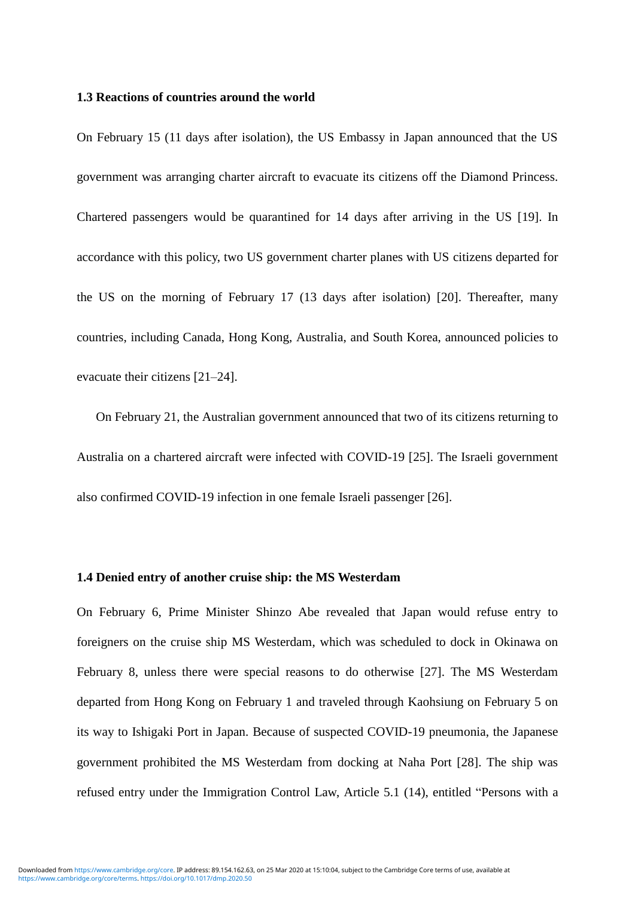#### **1.3 Reactions of countries around the world**

On February 15 (11 days after isolation), the US Embassy in Japan announced that the US government was arranging charter aircraft to evacuate its citizens off the Diamond Princess. Chartered passengers would be quarantined for 14 days after arriving in the US [19]. In accordance with this policy, two US government charter planes with US citizens departed for the US on the morning of February 17 (13 days after isolation) [20]. Thereafter, many countries, including Canada, Hong Kong, Australia, and South Korea, announced policies to evacuate their citizens [21–24].

On February 21, the Australian government announced that two of its citizens returning to Australia on a chartered aircraft were infected with COVID-19 [25]. The Israeli government also confirmed COVID-19 infection in one female Israeli passenger [26].

#### **1.4 Denied entry of another cruise ship: the MS Westerdam**

On February 6, Prime Minister Shinzo Abe revealed that Japan would refuse entry to foreigners on the cruise ship MS Westerdam, which was scheduled to dock in Okinawa on February 8, unless there were special reasons to do otherwise [27]. The MS Westerdam departed from Hong Kong on February 1 and traveled through Kaohsiung on February 5 on its way to Ishigaki Port in Japan. Because of suspected COVID-19 pneumonia, the Japanese government prohibited the MS Westerdam from docking at Naha Port [28]. The ship was refused entry under the Immigration Control Law, Article 5.1 (14), entitled "Persons with a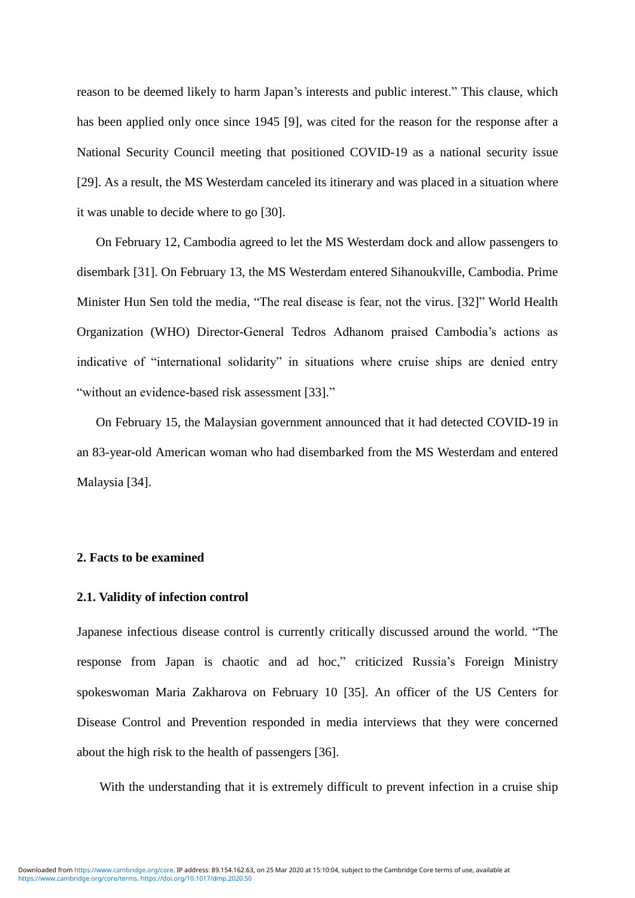reason to be deemed likely to harm Japan's interests and public interest." This clause, which has been applied only once since 1945 [9], was cited for the reason for the response after a National Security Council meeting that positioned COVID-19 as a national security issue [29]. As a result, the MS Westerdam canceled its itinerary and was placed in a situation where it was unable to decide where to go [30].

On February 12, Cambodia agreed to let the MS Westerdam dock and allow passengers to disembark [31]. On February 13, the MS Westerdam entered Sihanoukville, Cambodia. Prime Minister Hun Sen told the media, "The real disease is fear, not the virus. [32]" World Health Organization (WHO) Director-General Tedros Adhanom praised Cambodia's actions as indicative of "international solidarity" in situations where cruise ships are denied entry "without an evidence-based risk assessment [33]."

On February 15, the Malaysian government announced that it had detected COVID-19 in an 83-year-old American woman who had disembarked from the MS Westerdam and entered Malaysia [34].

#### **2. Facts to be examined**

#### **2.1. Validity of infection control**

Japanese infectious disease control is currently critically discussed around the world. "The response from Japan is chaotic and ad hoc," criticized Russia's Foreign Ministry spokeswoman Maria Zakharova on February 10 [35]. An officer of the US Centers for Disease Control and Prevention responded in media interviews that they were concerned about the high risk to the health of passengers [36].

With the understanding that it is extremely difficult to prevent infection in a cruise ship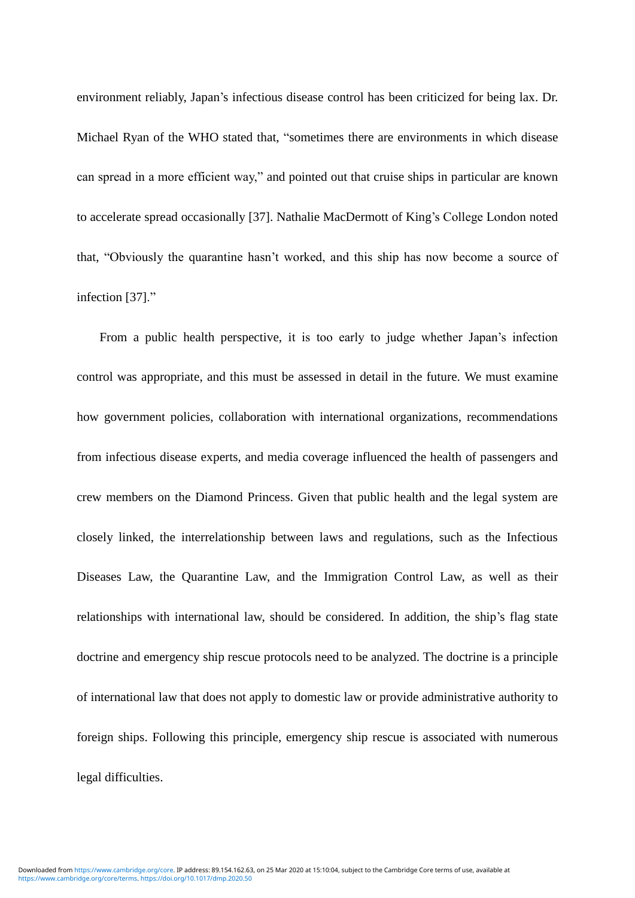environment reliably, Japan's infectious disease control has been criticized for being lax. Dr. Michael Ryan of the WHO stated that, "sometimes there are environments in which disease can spread in a more efficient way," and pointed out that cruise ships in particular are known to accelerate spread occasionally [37]. Nathalie MacDermott of King's College London noted that, "Obviously the quarantine hasn't worked, and this ship has now become a source of infection [37]."

From a public health perspective, it is too early to judge whether Japan's infection control was appropriate, and this must be assessed in detail in the future. We must examine how government policies, collaboration with international organizations, recommendations from infectious disease experts, and media coverage influenced the health of passengers and crew members on the Diamond Princess. Given that public health and the legal system are closely linked, the interrelationship between laws and regulations, such as the Infectious Diseases Law, the Quarantine Law, and the Immigration Control Law, as well as their relationships with international law, should be considered. In addition, the ship's flag state doctrine and emergency ship rescue protocols need to be analyzed. The doctrine is a principle of international law that does not apply to domestic law or provide administrative authority to foreign ships. Following this principle, emergency ship rescue is associated with numerous legal difficulties.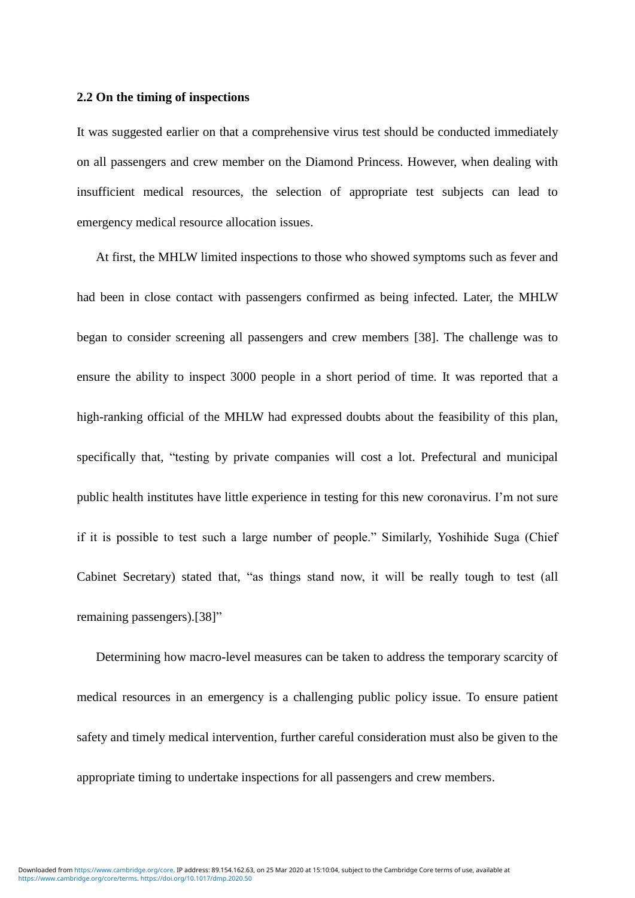#### **2.2 On the timing of inspections**

It was suggested earlier on that a comprehensive virus test should be conducted immediately on all passengers and crew member on the Diamond Princess. However, when dealing with insufficient medical resources, the selection of appropriate test subjects can lead to emergency medical resource allocation issues.

At first, the MHLW limited inspections to those who showed symptoms such as fever and had been in close contact with passengers confirmed as being infected. Later, the MHLW began to consider screening all passengers and crew members [38]. The challenge was to ensure the ability to inspect 3000 people in a short period of time. It was reported that a high-ranking official of the MHLW had expressed doubts about the feasibility of this plan, specifically that, "testing by private companies will cost a lot. Prefectural and municipal public health institutes have little experience in testing for this new coronavirus. I'm not sure if it is possible to test such a large number of people." Similarly, Yoshihide Suga (Chief Cabinet Secretary) stated that, "as things stand now, it will be really tough to test (all remaining passengers).[38]"

Determining how macro-level measures can be taken to address the temporary scarcity of medical resources in an emergency is a challenging public policy issue. To ensure patient safety and timely medical intervention, further careful consideration must also be given to the appropriate timing to undertake inspections for all passengers and crew members.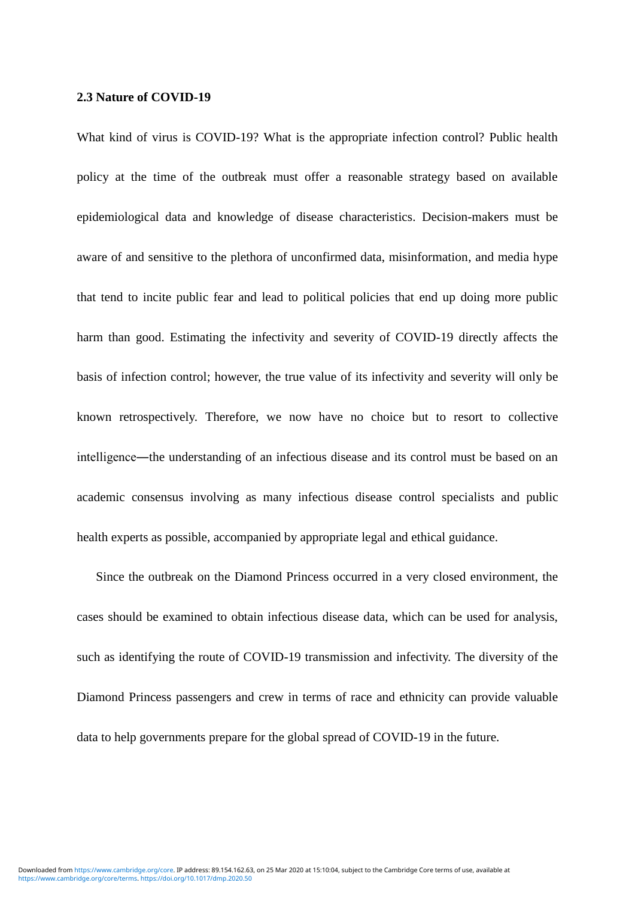#### **2.3 Nature of COVID-19**

What kind of virus is COVID-19? What is the appropriate infection control? Public health policy at the time of the outbreak must offer a reasonable strategy based on available epidemiological data and knowledge of disease characteristics. Decision-makers must be aware of and sensitive to the plethora of unconfirmed data, misinformation, and media hype that tend to incite public fear and lead to political policies that end up doing more public harm than good. Estimating the infectivity and severity of COVID-19 directly affects the basis of infection control; however, the true value of its infectivity and severity will only be known retrospectively. Therefore, we now have no choice but to resort to collective intelligence―the understanding of an infectious disease and its control must be based on an academic consensus involving as many infectious disease control specialists and public health experts as possible, accompanied by appropriate legal and ethical guidance.

Since the outbreak on the Diamond Princess occurred in a very closed environment, the cases should be examined to obtain infectious disease data, which can be used for analysis, such as identifying the route of COVID-19 transmission and infectivity. The diversity of the Diamond Princess passengers and crew in terms of race and ethnicity can provide valuable data to help governments prepare for the global spread of COVID-19 in the future.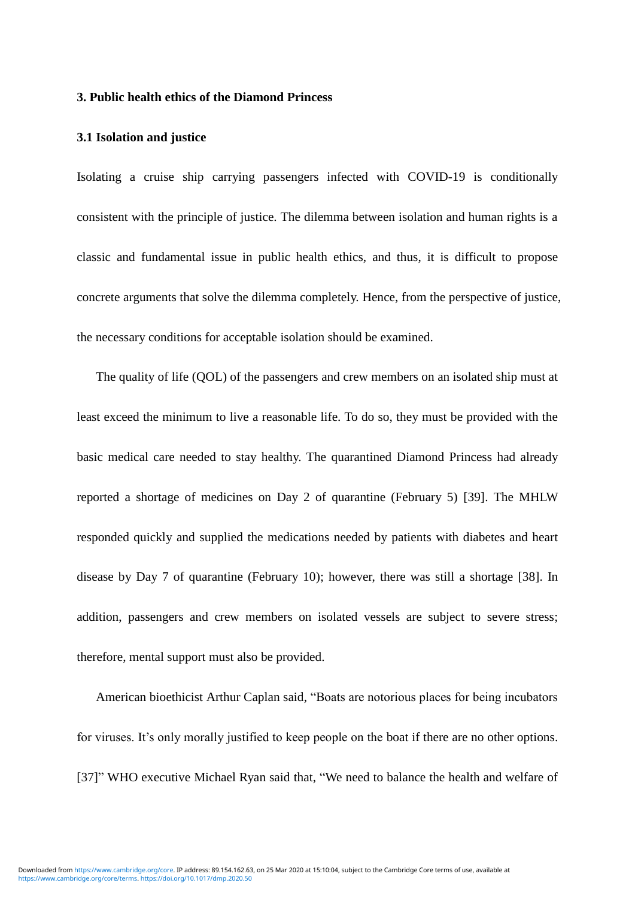#### **3. Public health ethics of the Diamond Princess**

#### **3.1 Isolation and justice**

Isolating a cruise ship carrying passengers infected with COVID-19 is conditionally consistent with the principle of justice. The dilemma between isolation and human rights is a classic and fundamental issue in public health ethics, and thus, it is difficult to propose concrete arguments that solve the dilemma completely. Hence, from the perspective of justice, the necessary conditions for acceptable isolation should be examined.

The quality of life (QOL) of the passengers and crew members on an isolated ship must at least exceed the minimum to live a reasonable life. To do so, they must be provided with the basic medical care needed to stay healthy. The quarantined Diamond Princess had already reported a shortage of medicines on Day 2 of quarantine (February 5) [39]. The MHLW responded quickly and supplied the medications needed by patients with diabetes and heart disease by Day 7 of quarantine (February 10); however, there was still a shortage [38]. In addition, passengers and crew members on isolated vessels are subject to severe stress; therefore, mental support must also be provided.

American bioethicist Arthur Caplan said, "Boats are notorious places for being incubators for viruses. It's only morally justified to keep people on the boat if there are no other options. [37]" WHO executive Michael Ryan said that, "We need to balance the health and welfare of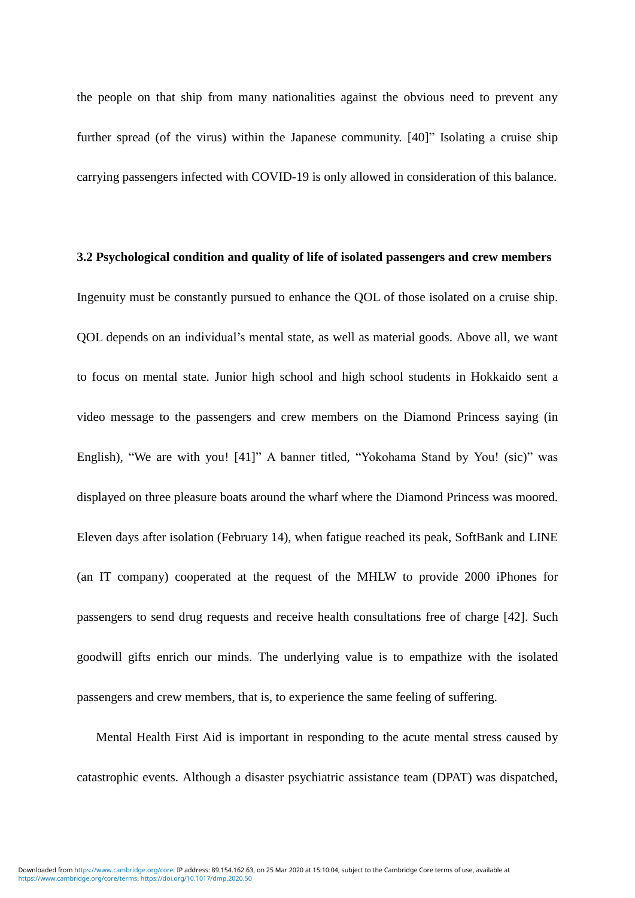the people on that ship from many nationalities against the obvious need to prevent any further spread (of the virus) within the Japanese community. [40]" Isolating a cruise ship carrying passengers infected with COVID-19 is only allowed in consideration of this balance.

# **3.2 Psychological condition and quality of life of isolated passengers and crew members** Ingenuity must be constantly pursued to enhance the QOL of those isolated on a cruise ship. QOL depends on an individual's mental state, as well as material goods. Above all, we want to focus on mental state. Junior high school and high school students in Hokkaido sent a video message to the passengers and crew members on the Diamond Princess saying (in English), "We are with you! [41]" A banner titled, "Yokohama Stand by You! (sic)" was displayed on three pleasure boats around the wharf where the Diamond Princess was moored. Eleven days after isolation (February 14), when fatigue reached its peak, SoftBank and LINE (an IT company) cooperated at the request of the MHLW to provide 2000 iPhones for passengers to send drug requests and receive health consultations free of charge [42]. Such goodwill gifts enrich our minds. The underlying value is to empathize with the isolated passengers and crew members, that is, to experience the same feeling of suffering.

Mental Health First Aid is important in responding to the acute mental stress caused by catastrophic events. Although a disaster psychiatric assistance team (DPAT) was dispatched,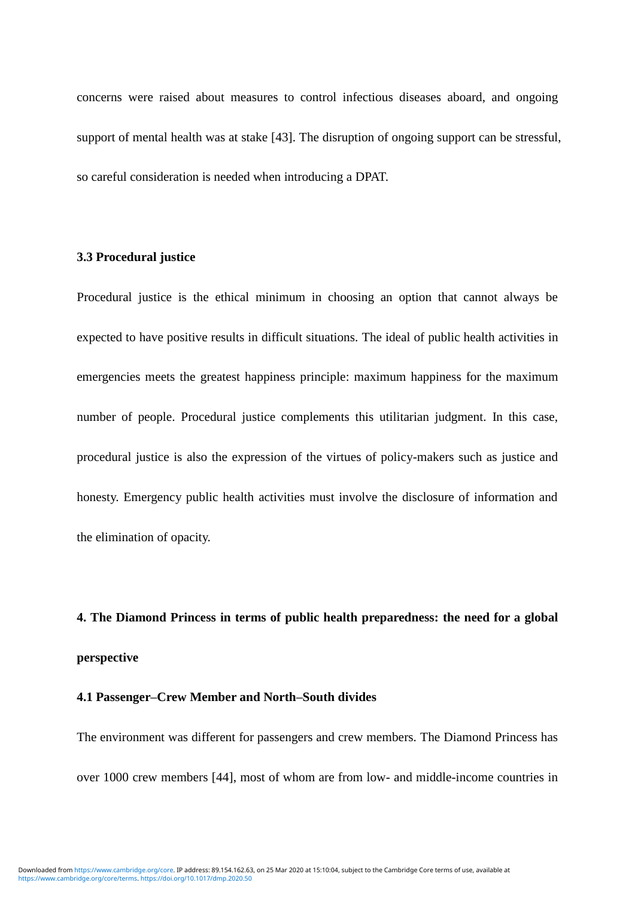concerns were raised about measures to control infectious diseases aboard, and ongoing support of mental health was at stake [43]. The disruption of ongoing support can be stressful, so careful consideration is needed when introducing a DPAT.

#### **3.3 Procedural justice**

Procedural justice is the ethical minimum in choosing an option that cannot always be expected to have positive results in difficult situations. The ideal of public health activities in emergencies meets the greatest happiness principle: maximum happiness for the maximum number of people. Procedural justice complements this utilitarian judgment. In this case, procedural justice is also the expression of the virtues of policy-makers such as justice and honesty. Emergency public health activities must involve the disclosure of information and the elimination of opacity.

**4. The Diamond Princess in terms of public health preparedness: the need for a global perspective**

#### **4.1 Passenger–Crew Member and North–South divides**

The environment was different for passengers and crew members. The Diamond Princess has over 1000 crew members [44], most of whom are from low- and middle-income countries in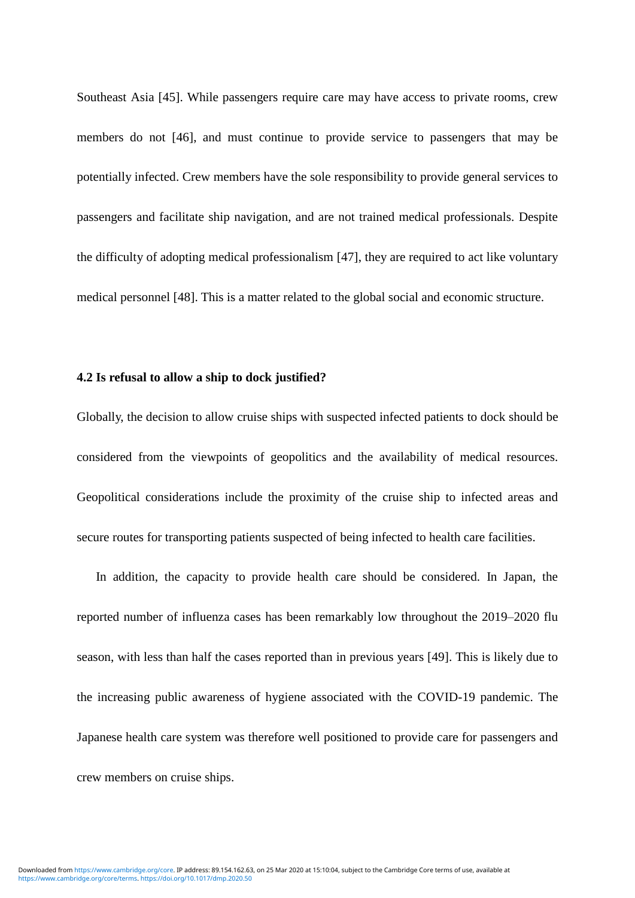Southeast Asia [45]. While passengers require care may have access to private rooms, crew members do not [46], and must continue to provide service to passengers that may be potentially infected. Crew members have the sole responsibility to provide general services to passengers and facilitate ship navigation, and are not trained medical professionals. Despite the difficulty of adopting medical professionalism [47], they are required to act like voluntary medical personnel [48]. This is a matter related to the global social and economic structure.

#### **4.2 Is refusal to allow a ship to dock justified?**

Globally, the decision to allow cruise ships with suspected infected patients to dock should be considered from the viewpoints of geopolitics and the availability of medical resources. Geopolitical considerations include the proximity of the cruise ship to infected areas and secure routes for transporting patients suspected of being infected to health care facilities.

In addition, the capacity to provide health care should be considered. In Japan, the reported number of influenza cases has been remarkably low throughout the 2019–2020 flu season, with less than half the cases reported than in previous years [49]. This is likely due to the increasing public awareness of hygiene associated with the COVID-19 pandemic. The Japanese health care system was therefore well positioned to provide care for passengers and crew members on cruise ships.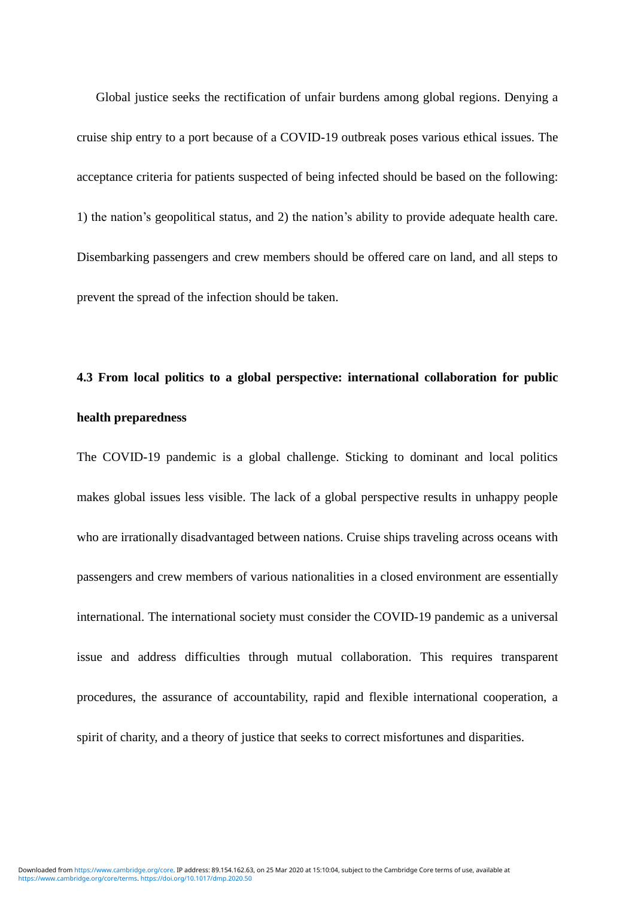Global justice seeks the rectification of unfair burdens among global regions. Denying a cruise ship entry to a port because of a COVID-19 outbreak poses various ethical issues. The acceptance criteria for patients suspected of being infected should be based on the following: 1) the nation's geopolitical status, and 2) the nation's ability to provide adequate health care. Disembarking passengers and crew members should be offered care on land, and all steps to prevent the spread of the infection should be taken.

## **4.3 From local politics to a global perspective: international collaboration for public health preparedness**

The COVID-19 pandemic is a global challenge. Sticking to dominant and local politics makes global issues less visible. The lack of a global perspective results in unhappy people who are irrationally disadvantaged between nations. Cruise ships traveling across oceans with passengers and crew members of various nationalities in a closed environment are essentially international. The international society must consider the COVID-19 pandemic as a universal issue and address difficulties through mutual collaboration. This requires transparent procedures, the assurance of accountability, rapid and flexible international cooperation, a spirit of charity, and a theory of justice that seeks to correct misfortunes and disparities.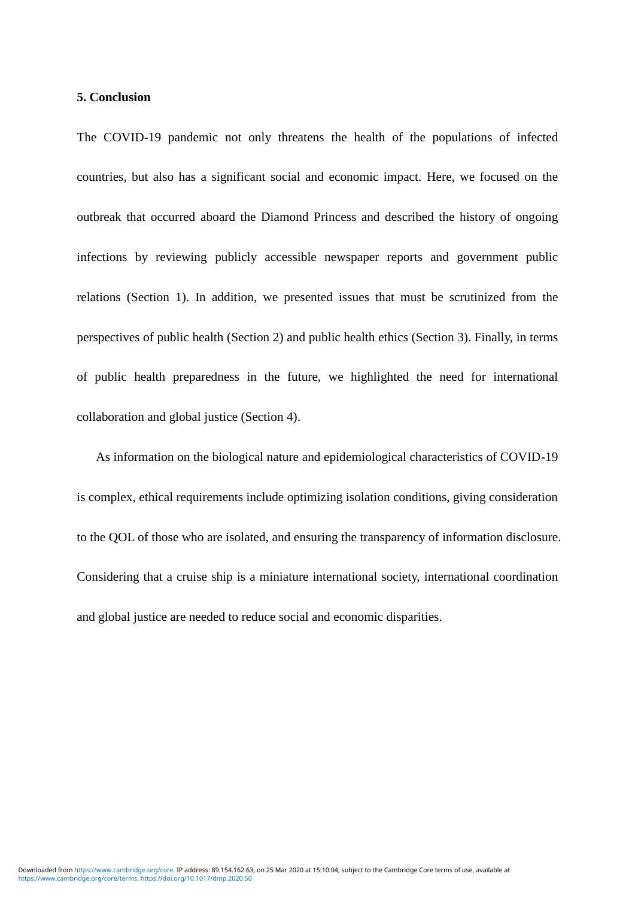#### **5. Conclusion**

The COVID-19 pandemic not only threatens the health of the populations of infected countries, but also has a significant social and economic impact. Here, we focused on the outbreak that occurred aboard the Diamond Princess and described the history of ongoing infections by reviewing publicly accessible newspaper reports and government public relations (Section 1). In addition, we presented issues that must be scrutinized from the perspectives of public health (Section 2) and public health ethics (Section 3). Finally, in terms of public health preparedness in the future, we highlighted the need for international collaboration and global justice (Section 4).

As information on the biological nature and epidemiological characteristics of COVID-19 is complex, ethical requirements include optimizing isolation conditions, giving consideration to the QOL of those who are isolated, and ensuring the transparency of information disclosure. Considering that a cruise ship is a miniature international society, international coordination and global justice are needed to reduce social and economic disparities.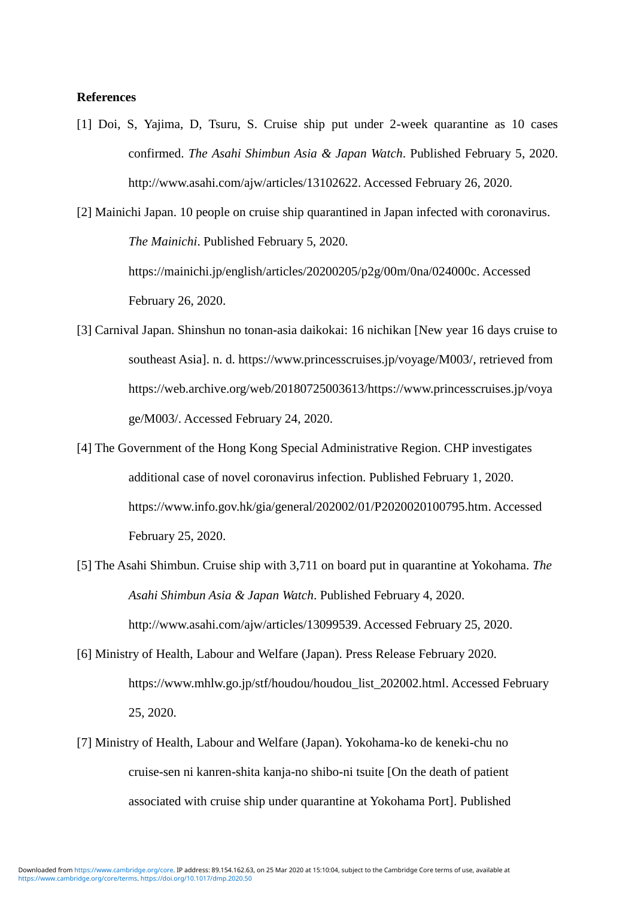#### **References**

[1] Doi, S, Yajima, D, Tsuru, S. Cruise ship put under 2-week quarantine as 10 cases confirmed. *The Asahi Shimbun Asia & Japan Watch*. Published February 5, 2020. [http://www.asahi.com/ajw/articles/13102622.](http://www.asahi.com/ajw/articles/13102622) Accessed February 26, 2020.

[2] Mainichi Japan. 10 people on cruise ship quarantined in Japan infected with coronavirus. *The Mainichi*. Published February 5, 2020. [https://mainichi.jp/english/articles/20200205/p2g/00m/0na/024000c.](https://mainichi.jp/english/articles/20200205/p2g/00m/0na/024000c) Accessed February 26, 2020.

- [3] Carnival Japan. Shinshun no tonan-asia daikokai: 16 nichikan [New year 16 days cruise to southeast Asia]. n. d. [https://www.princesscruises.jp/voyage/M003/,](https://www.princesscruises.jp/voyage/M003/) retrieved from [https://web.archive.org/web/20180725003613/https://www.princesscruises.jp/voya](https://web.archive.org/web/20180725003613/https:/www.princesscruises.jp/voyage/M003/) [ge/M003/.](https://web.archive.org/web/20180725003613/https:/www.princesscruises.jp/voyage/M003/) Accessed February 24, 2020.
- [4] The Government of the Hong Kong Special Administrative Region. CHP investigates additional case of novel coronavirus infection. Published February 1, 2020. [https://www.info.gov.hk/gia/general/202002/01/P2020020100795.htm.](https://www.info.gov.hk/gia/general/202002/01/P2020020100795.htm) Accessed February 25, 2020.
- [5] The Asahi Shimbun. Cruise ship with 3,711 on board put in quarantine at Yokohama. *The Asahi Shimbun Asia & Japan Watch*. Published February 4, 2020. [http://www.asahi.com/ajw/articles/13099539.](http://www.asahi.com/ajw/articles/13099539) Accessed February 25, 2020.
- [6] Ministry of Health, Labour and Welfare (Japan). Press Release February 2020. [https://www.mhlw.go.jp/stf/houdou/houdou\\_list\\_202002.html.](https://www.mhlw.go.jp/stf/houdou/houdou_list_202002.html) Accessed February 25, 2020.
- [7] Ministry of Health, Labour and Welfare (Japan). Yokohama-ko de keneki-chu no cruise-sen ni kanren-shita kanja-no shibo-ni tsuite [On the death of patient associated with cruise ship under quarantine at Yokohama Port]. Published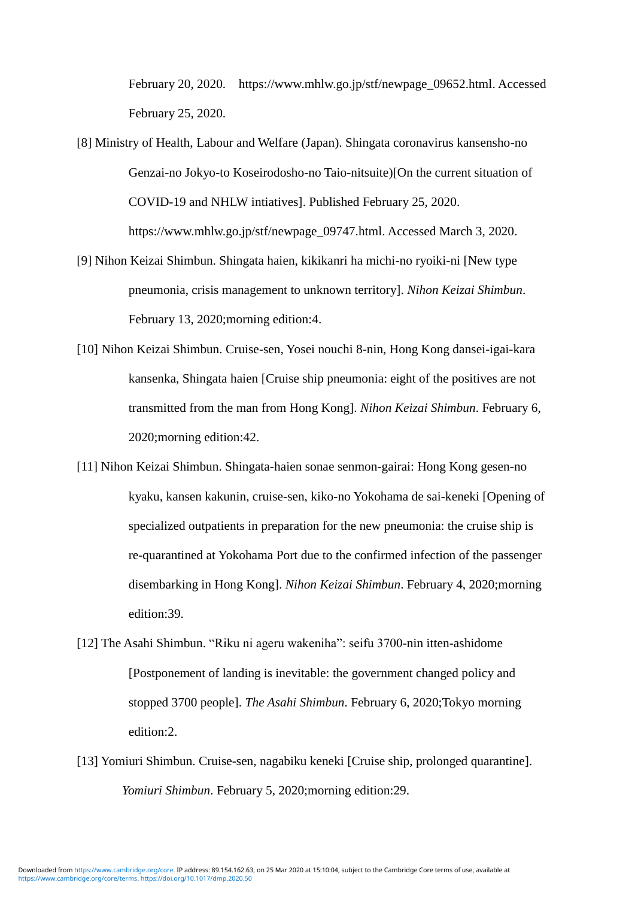February 20, 2020. [https://www.mhlw.go.jp/stf/newpage\\_09652.html.](https://www.mhlw.go.jp/stf/newpage_09652.html) Accessed February 25, 2020.

- [8] Ministry of Health, Labour and Welfare (Japan). Shingata coronavirus kansensho-no Genzai-no Jokyo-to Koseirodosho-no Taio-nitsuite)[On the current situation of COVID-19 and NHLW intiatives]. Published February 25, 2020. https://www.mhlw.go.jp/stf/newpage\_09747.html. Accessed March 3, 2020.
- [9] Nihon Keizai Shimbun. Shingata haien, kikikanri ha michi-no ryoiki-ni [New type pneumonia, crisis management to unknown territory]. *Nihon Keizai Shimbun*. February 13, 2020;morning edition:4.
- [10] Nihon Keizai Shimbun. Cruise-sen, Yosei nouchi 8-nin, Hong Kong dansei-igai-kara kansenka, Shingata haien [Cruise ship pneumonia: eight of the positives are not transmitted from the man from Hong Kong]. *Nihon Keizai Shimbun*. February 6, 2020;morning edition:42.
- [11] Nihon Keizai Shimbun. Shingata-haien sonae senmon-gairai: Hong Kong gesen-no kyaku, kansen kakunin, cruise-sen, kiko-no Yokohama de sai-keneki [Opening of specialized outpatients in preparation for the new pneumonia: the cruise ship is re-quarantined at Yokohama Port due to the confirmed infection of the passenger disembarking in Hong Kong]. *Nihon Keizai Shimbun*. February 4, 2020;morning edition:39.
- [12] The Asahi Shimbun. "Riku ni ageru wakeniha": seifu 3700-nin itten-ashidome [Postponement of landing is inevitable: the government changed policy and stopped 3700 people]. *The Asahi Shimbun*. February 6, 2020;Tokyo morning edition:2.
- [13] Yomiuri Shimbun. Cruise-sen, nagabiku keneki [Cruise ship, prolonged quarantine]. *Yomiuri Shimbun*. February 5, 2020;morning edition:29.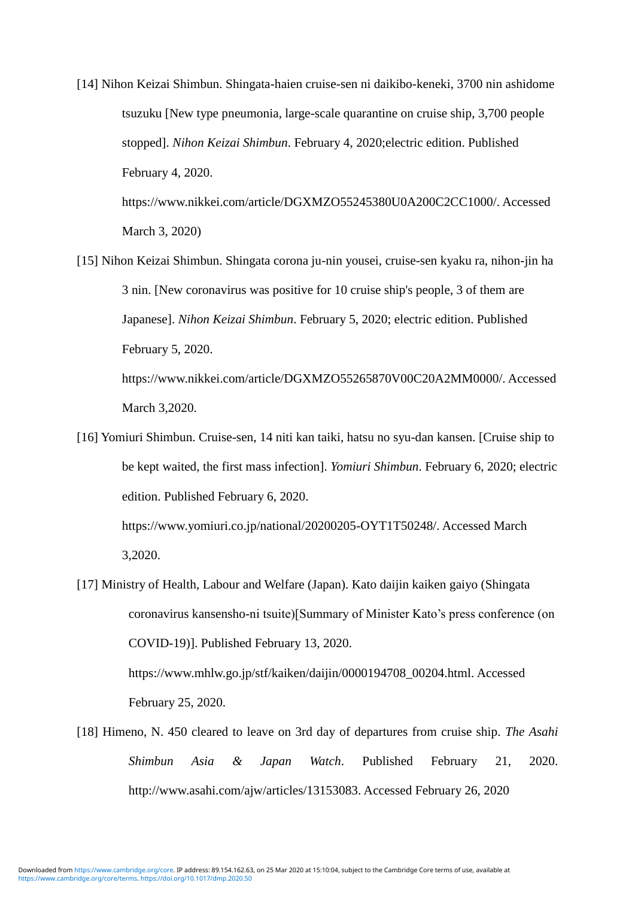- [14] Nihon Keizai Shimbun. Shingata-haien cruise-sen ni daikibo-keneki, 3700 nin ashidome tsuzuku [New type pneumonia, large-scale quarantine on cruise ship, 3,700 people stopped]. *Nihon Keizai Shimbun*. February 4, 2020;electric edition. Published February 4, 2020. https://www.nikkei.com/article/DGXMZO55245380U0A200C2CC1000/. Accessed
	- March 3, 2020)

March 3,2020.

- [15] Nihon Keizai Shimbun. Shingata corona ju-nin yousei, cruise-sen kyaku ra, nihon-jin ha 3 nin. [New coronavirus was positive for 10 cruise ship's people, 3 of them are Japanese]. *Nihon Keizai Shimbun*. February 5, 2020; electric edition. Published February 5, 2020. https://www.nikkei.com/article/DGXMZO55265870V00C20A2MM0000/. Accessed
- [16] Yomiuri Shimbun. Cruise-sen, 14 niti kan taiki, hatsu no syu-dan kansen. [Cruise ship to be kept waited, the first mass infection]. *Yomiuri Shimbun*. February 6, 2020; electric edition. Published February 6, 2020.

https://www.yomiuri.co.jp/national/20200205-OYT1T50248/. Accessed March 3,2020.

- [17] Ministry of Health, Labour and Welfare (Japan). Kato daijin kaiken gaiyo (Shingata coronavirus kansensho-ni tsuite)[Summary of Minister Kato's press conference (on COVID-19)]. Published February 13, 2020. https://www.mhlw.go.jp/stf/kaiken/daijin/0000194708\_00204.html. Accessed February 25, 2020.
- [18] Himeno, N. 450 cleared to leave on 3rd day of departures from cruise ship. *The Asahi Shimbun Asia & Japan Watch*. Published February 21, 2020. http://www.asahi.com/ajw/articles/13153083. Accessed February 26, 2020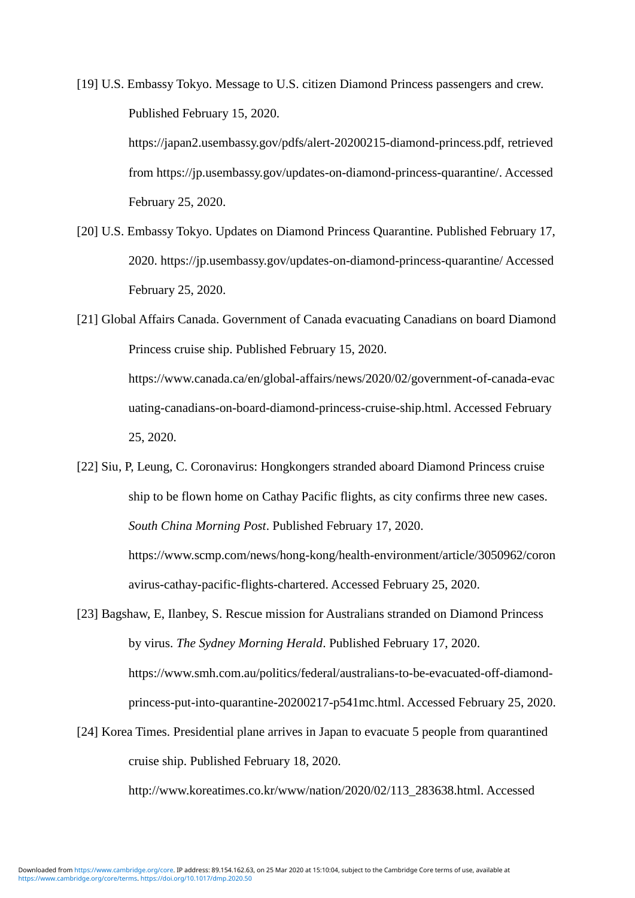[19] U.S. Embassy Tokyo. Message to U.S. citizen Diamond Princess passengers and crew. Published February 15, 2020.

> [https://japan2.usembassy.gov/pdfs/alert-20200215-diamond-princess.pdf,](https://japan2.usembassy.gov/pdfs/alert-20200215-diamond-princess.pdf) retrieved from https://jp.usembassy.gov/updates-on-diamond-princess-quarantine/. Accessed February 25, 2020.

[20] U.S. Embassy Tokyo. Updates on Diamond Princess Quarantine. Published February 17, 2020. https://jp.usembassy.gov/updates-on-diamond-princess-quarantine/ Accessed February 25, 2020.

[21] Global Affairs Canada. Government of Canada evacuating Canadians on board Diamond Princess cruise ship. Published February 15, 2020. [https://www.canada.ca/en/global-affairs/news/2020/02/government-of-canada-evac](https://www.canada.ca/en/global-affairs/news/2020/02/government-of-canada-evacuating-canadians-on-board-diamond-princess-cruise-ship.html) [uating-canadians-on-board-diamond-princess-cruise-ship.html.](https://www.canada.ca/en/global-affairs/news/2020/02/government-of-canada-evacuating-canadians-on-board-diamond-princess-cruise-ship.html) Accessed February 25, 2020.

[22] Siu, P, Leung, C. Coronavirus: Hongkongers stranded aboard Diamond Princess cruise ship to be flown home on Cathay Pacific flights, as city confirms three new cases. *South China Morning Post*. Published February 17, 2020. [https://www.scmp.com/news/hong-kong/health-environment/article/3050962/coron](https://www.scmp.com/news/hong-kong/health-environment/article/3050962/coronavirus-cathay-pacific-flights-chartered) [avirus-cathay-pacific-flights-chartered.](https://www.scmp.com/news/hong-kong/health-environment/article/3050962/coronavirus-cathay-pacific-flights-chartered) Accessed February 25, 2020.

[23] Bagshaw, E, Ilanbey, S. Rescue mission for Australians stranded on Diamond Princess by virus. *The Sydney Morning Herald*. Published February 17, 2020. [https://www.smh.com.au/politics/federal/australians-to-be-evacuated-off-diamond](https://www.smh.com.au/politics/federal/australians-to-be-evacuated-off-diamond-princess-put-into-quarantine-20200217-p541mc.html)[princess-put-into-quarantine-20200217-p541mc.html.](https://www.smh.com.au/politics/federal/australians-to-be-evacuated-off-diamond-princess-put-into-quarantine-20200217-p541mc.html) Accessed February 25, 2020.

[24] Korea Times. Presidential plane arrives in Japan to evacuate 5 people from quarantined cruise ship. Published February 18, 2020.

[http://www.koreatimes.co.kr/www/nation/2020/02/113\\_283638.html.](http://www.koreatimes.co.kr/www/nation/2020/02/113_283638.html) Accessed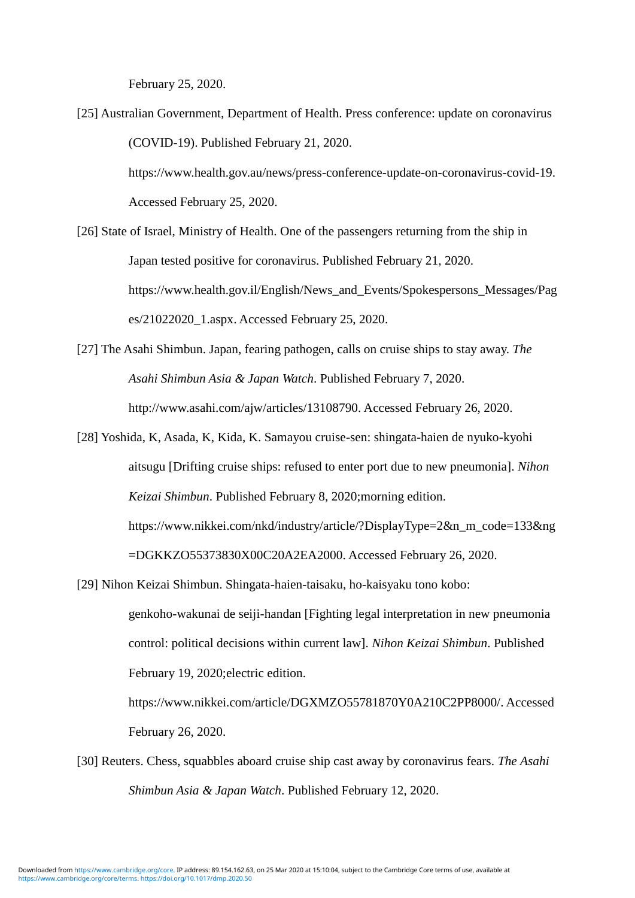February 25, 2020.

[25] Australian Government, Department of Health. Press conference: update on coronavirus (COVID-19). Published February 21, 2020.

> https://www.health.gov.au/news/press-conference-update-on-coronavirus-covid-19. Accessed February 25, 2020.

- [26] State of Israel, Ministry of Health. One of the passengers returning from the ship in Japan tested positive for coronavirus. Published February 21, 2020. [https://www.health.gov.il/English/News\\_and\\_Events/Spokespersons\\_Messages/Pag](https://www.health.gov.il/English/News_and_Events/Spokespersons_Messages/Pages/21022020_1.aspx) [es/21022020\\_1.aspx.](https://www.health.gov.il/English/News_and_Events/Spokespersons_Messages/Pages/21022020_1.aspx) Accessed February 25, 2020.
- [27] The Asahi Shimbun. Japan, fearing pathogen, calls on cruise ships to stay away. *The Asahi Shimbun Asia & Japan Watch*. Published February 7, 2020. http://www.asahi.com/ajw/articles/13108790. Accessed February 26, 2020.
- [28] Yoshida, K, Asada, K, Kida, K. Samayou cruise-sen: shingata-haien de nyuko-kyohi aitsugu [Drifting cruise ships: refused to enter port due to new pneumonia]. *Nihon Keizai Shimbun*. Published February 8, 2020;morning edition. [https://www.nikkei.com/nkd/industry/article/?DisplayType=2&n\\_m\\_code=133&ng](https://www.nikkei.com/nkd/industry/article/?DisplayType=2&n_m_code=133&ng=DGKKZO55373830X00C20A2EA2000) [=DGKKZO55373830X00C20A2EA2000.](https://www.nikkei.com/nkd/industry/article/?DisplayType=2&n_m_code=133&ng=DGKKZO55373830X00C20A2EA2000) Accessed February 26, 2020.
- [29] Nihon Keizai Shimbun. Shingata-haien-taisaku, ho-kaisyaku tono kobo:

genkoho-wakunai de seiji-handan [Fighting legal interpretation in new pneumonia control: political decisions within current law]. *Nihon Keizai Shimbun*. Published February 19, 2020;electric edition.

[https://www.nikkei.com/article/DGXMZO55781870Y0A210C2PP8000/.](https://www.nikkei.com/article/DGXMZO55781870Y0A210C2PP8000/) Accessed February 26, 2020.

[30] Reuters. Chess, squabbles aboard cruise ship cast away by coronavirus fears. *The Asahi Shimbun Asia & Japan Watch*. Published February 12, 2020.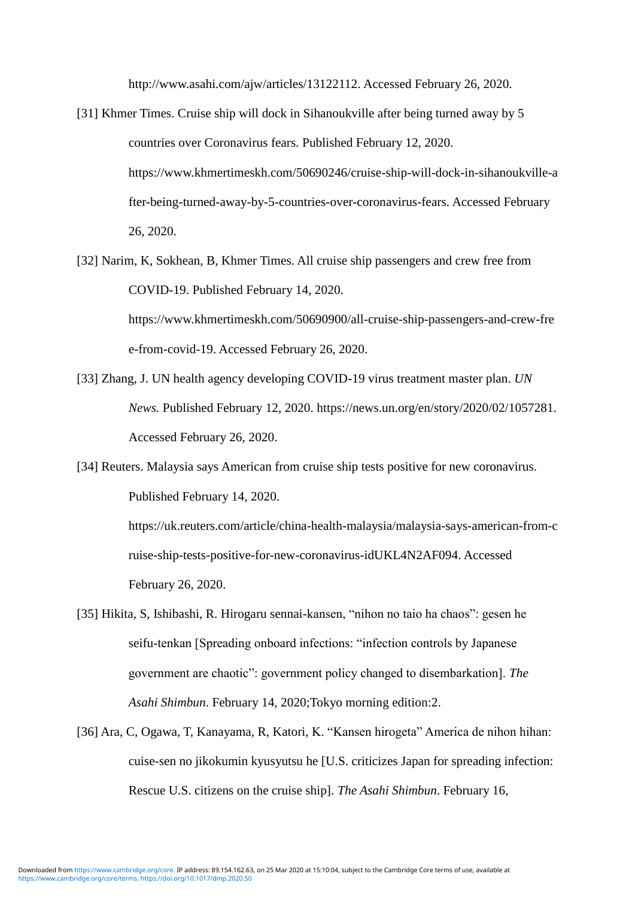http://www.asahi.com/ajw/articles/13122112. Accessed February 26, 2020.

- [31] Khmer Times. Cruise ship will dock in Sihanoukville after being turned away by 5 countries over Coronavirus fears. Published February 12, 2020. https://www.khmertimeskh.com/50690246/cruise-ship-will-dock-in-sihanoukville-a fter-being-turned-away-by-5-countries-over-coronavirus-fears. Accessed February 26, 2020.
- [32] Narim, K, Sokhean, B, Khmer Times. All cruise ship passengers and crew free from COVID-19. Published February 14, 2020. https://www.khmertimeskh.com/50690900/all-cruise-ship-passengers-and-crew-fre
- [33] Zhang, J. UN health agency developing COVID-19 virus treatment master plan. *UN News.* Published February 12, 2020. [https://news.un.org/en/story/2020/02/1057281.](https://news.un.org/en/story/2020/02/1057281)

e-from-covid-19. Accessed February 26, 2020.

Accessed February 26, 2020.

[34] Reuters. Malaysia says American from cruise ship tests positive for new coronavirus. Published February 14, 2020.

> [https://uk.reuters.com/article/china-health-malaysia/malaysia-says-american-from-c](https://uk.reuters.com/article/china-health-malaysia/malaysia-says-american-from-cruise-ship-tests-positive-for-new-coronavirus-idUKL4N2AF094) [ruise-ship-tests-positive-for-new-coronavirus-idUKL4N2AF094.](https://uk.reuters.com/article/china-health-malaysia/malaysia-says-american-from-cruise-ship-tests-positive-for-new-coronavirus-idUKL4N2AF094) Accessed February 26, 2020.

- [35] Hikita, S, Ishibashi, R. Hirogaru sennai-kansen, "nihon no taio ha chaos": gesen he seifu-tenkan [Spreading onboard infections: "infection controls by Japanese government are chaotic": government policy changed to disembarkation]. *The Asahi Shimbun*. February 14, 2020;Tokyo morning edition:2.
- [36] Ara, C, Ogawa, T, Kanayama, R, Katori, K. "Kansen hirogeta" America de nihon hihan: cuise-sen no jikokumin kyusyutsu he [U.S. criticizes Japan for spreading infection: Rescue U.S. citizens on the cruise ship]. *The Asahi Shimbun*. February 16,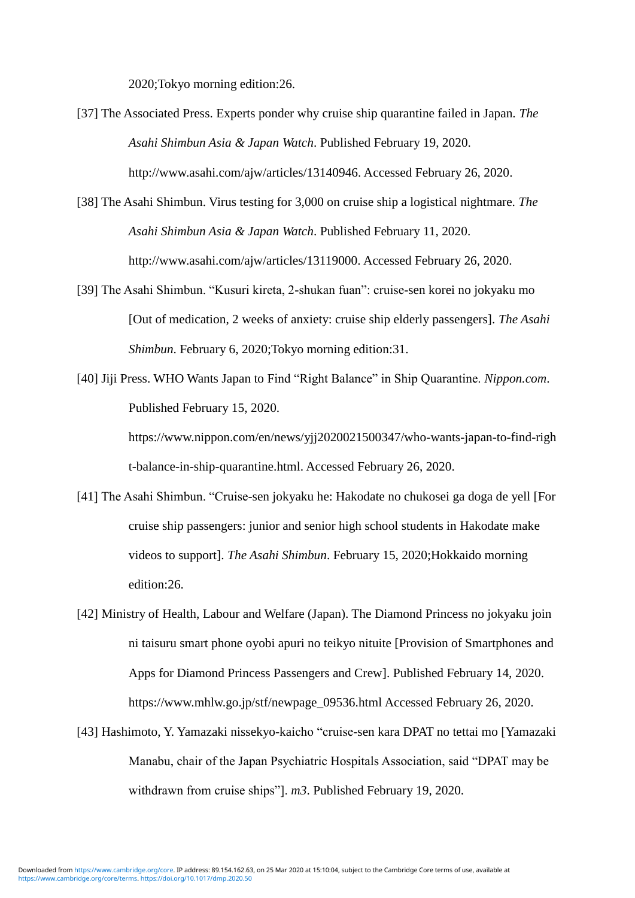2020;Tokyo morning edition:26.

- [37] The Associated Press. Experts ponder why cruise ship quarantine failed in Japan. *The Asahi Shimbun Asia & Japan Watch*. Published February 19, 2020. http://www.asahi.com/ajw/articles/13140946. Accessed February 26, 2020.
- [38] The Asahi Shimbun. Virus testing for 3,000 on cruise ship a logistical nightmare. *The Asahi Shimbun Asia & Japan Watch*. Published February 11, 2020. http://www.asahi.com/ajw/articles/13119000. Accessed February 26, 2020.
- [39] The Asahi Shimbun. "Kusuri kireta, 2-shukan fuan": cruise-sen korei no jokyaku mo [Out of medication, 2 weeks of anxiety: cruise ship elderly passengers]. *The Asahi Shimbun*. February 6, 2020;Tokyo morning edition:31.
- [40] Jiji Press. WHO Wants Japan to Find "Right Balance" in Ship Quarantine. *Nippon.com*. Published February 15, 2020. [https://www.nippon.com/en/news/yjj2020021500347/who-wants-japan-to-find-righ](https://www.nippon.com/en/news/yjj2020021500347/who-wants-japan-to-find-right-balance-in-ship-quarantine.html) [t-balance-in-ship-quarantine.html.](https://www.nippon.com/en/news/yjj2020021500347/who-wants-japan-to-find-right-balance-in-ship-quarantine.html) Accessed February 26, 2020.
- [41] The Asahi Shimbun. "Cruise-sen jokyaku he: Hakodate no chukosei ga doga de yell [For cruise ship passengers: junior and senior high school students in Hakodate make videos to support]. *The Asahi Shimbun*. February 15, 2020;Hokkaido morning edition:26.
- [42] Ministry of Health, Labour and Welfare (Japan). The Diamond Princess no jokyaku join ni taisuru smart phone oyobi apuri no teikyo nituite [Provision of Smartphones and Apps for Diamond Princess Passengers and Crew]. Published February 14, 2020. [https://www.mhlw.go.jp/stf/newpage\\_09536.html](https://www.mhlw.go.jp/stf/newpage_09536.html) Accessed February 26, 2020.
- [43] Hashimoto, Y. Yamazaki nissekyo-kaicho "cruise-sen kara DPAT no tettai mo [Yamazaki Manabu, chair of the Japan Psychiatric Hospitals Association, said "DPAT may be withdrawn from cruise ships"]. *m3*. Published February 19, 2020.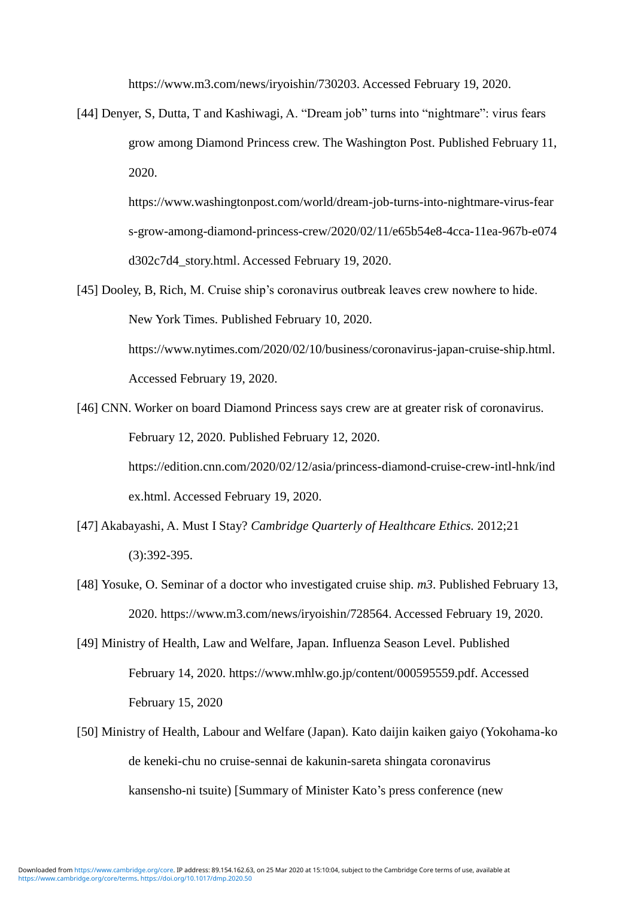[https://www.m3.com/news/iryoishin/730203.](https://www.m3.com/news/iryoishin/730203) Accessed February 19, 2020.

[44] Denyer, S, Dutta, T and Kashiwagi, A. "Dream job" turns into "nightmare": virus fears grow among Diamond Princess crew. The Washington Post. Published February 11, 2020.

> [https://www.washingtonpost.com/world/dream-job-turns-into-nightmare-virus-fear](https://www.washingtonpost.com/world/dream-job-turns-into-nightmare-virus-fears-grow-among-diamond-princess-crew/2020/02/11/e65b54e8-4cca-11ea-967b-e074d302c7d4_story.html) [s-grow-among-diamond-princess-crew/2020/02/11/e65b54e8-4cca-11ea-967b-e074](https://www.washingtonpost.com/world/dream-job-turns-into-nightmare-virus-fears-grow-among-diamond-princess-crew/2020/02/11/e65b54e8-4cca-11ea-967b-e074d302c7d4_story.html) [d302c7d4\\_story.html.](https://www.washingtonpost.com/world/dream-job-turns-into-nightmare-virus-fears-grow-among-diamond-princess-crew/2020/02/11/e65b54e8-4cca-11ea-967b-e074d302c7d4_story.html) Accessed February 19, 2020.

- [45] Dooley, B, Rich, M. Cruise ship's coronavirus outbreak leaves crew nowhere to hide. New York Times. Published February 10, 2020. [https://www.nytimes.com/2020/02/10/business/coronavirus-japan-cruise-ship.html.](https://www.nytimes.com/2020/02/10/business/coronavirus-japan-cruise-ship.html) Accessed February 19, 2020.
- [46] CNN. Worker on board Diamond Princess says crew are at greater risk of coronavirus. February 12, 2020. Published February 12, 2020. [https://edition.cnn.com/2020/02/12/asia/princess-diamond-cruise-crew-intl-hnk/ind](https://edition.cnn.com/2020/02/12/asia/princess-diamond-cruise-crew-intl-hnk/index.html) [ex.html.](https://edition.cnn.com/2020/02/12/asia/princess-diamond-cruise-crew-intl-hnk/index.html) Accessed February 19, 2020.
- [47] Akabayashi, A. Must I Stay? *Cambridge Quarterly of Healthcare Ethics.* 2012;21 (3):392-395.
- [48] Yosuke, O. Seminar of a doctor who investigated cruise ship. *m3*. Published February 13, 2020. [https://www.m3.com/news/iryoishin/728564.](https://www.m3.com/news/iryoishin/728564) Accessed February 19, 2020.
- [49] Ministry of Health, Law and Welfare, Japan. Influenza Season Level. Published February 14, 2020. https://www.mhlw.go.jp/content/000595559.pdf. Accessed February 15, 2020
- [50] Ministry of Health, Labour and Welfare (Japan). Kato daijin kaiken gaiyo (Yokohama-ko de keneki-chu no cruise-sennai de kakunin-sareta shingata coronavirus kansensho-ni tsuite) [Summary of Minister Kato's press conference (new